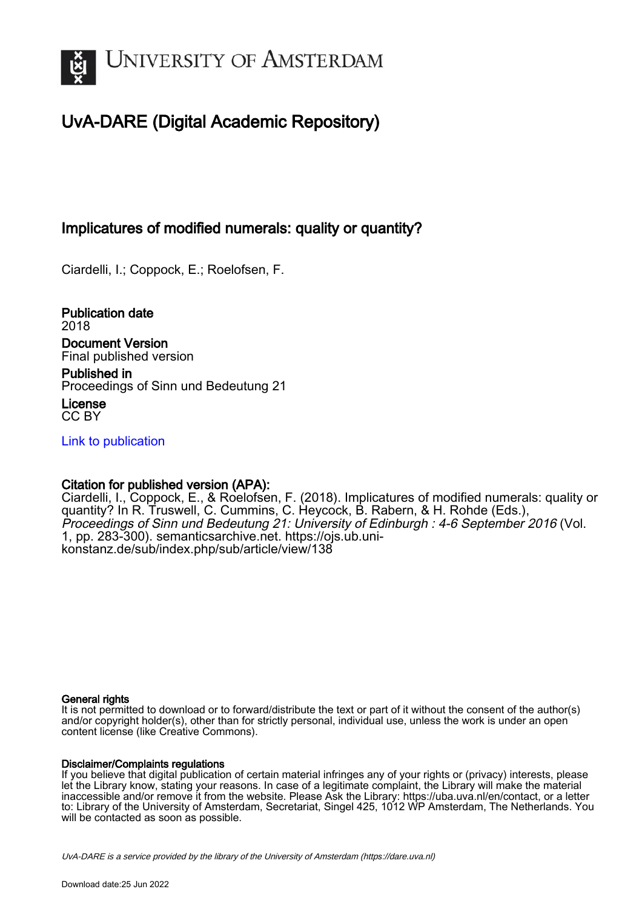

# UvA-DARE (Digital Academic Repository)

## Implicatures of modified numerals: quality or quantity?

Ciardelli, I.; Coppock, E.; Roelofsen, F.

Publication date 2018 Document Version Final published version

Published in Proceedings of Sinn und Bedeutung 21

License CC BY

[Link to publication](https://dare.uva.nl/personal/pure/en/publications/implicatures-of-modified-numerals-quality-or-quantity(7dce4b98-44e6-46c5-a926-fc1d5d99e015).html)

## Citation for published version (APA):

Ciardelli, I., Coppock, E., & Roelofsen, F. (2018). Implicatures of modified numerals: quality or quantity? In R. Truswell, C. Cummins, C. Heycock, B. Rabern, & H. Rohde (Eds.), Proceedings of Sinn und Bedeutung 21: University of Edinburgh : 4-6 September 2016 (Vol. 1, pp. 283-300). semanticsarchive.net. [https://ojs.ub.uni](https://ojs.ub.uni-konstanz.de/sub/index.php/sub/article/view/138)[konstanz.de/sub/index.php/sub/article/view/138](https://ojs.ub.uni-konstanz.de/sub/index.php/sub/article/view/138)

#### General rights

It is not permitted to download or to forward/distribute the text or part of it without the consent of the author(s) and/or copyright holder(s), other than for strictly personal, individual use, unless the work is under an open content license (like Creative Commons).

#### Disclaimer/Complaints regulations

If you believe that digital publication of certain material infringes any of your rights or (privacy) interests, please let the Library know, stating your reasons. In case of a legitimate complaint, the Library will make the material inaccessible and/or remove it from the website. Please Ask the Library: https://uba.uva.nl/en/contact, or a letter to: Library of the University of Amsterdam, Secretariat, Singel 425, 1012 WP Amsterdam, The Netherlands. You will be contacted as soon as possible.

UvA-DARE is a service provided by the library of the University of Amsterdam (http*s*://dare.uva.nl)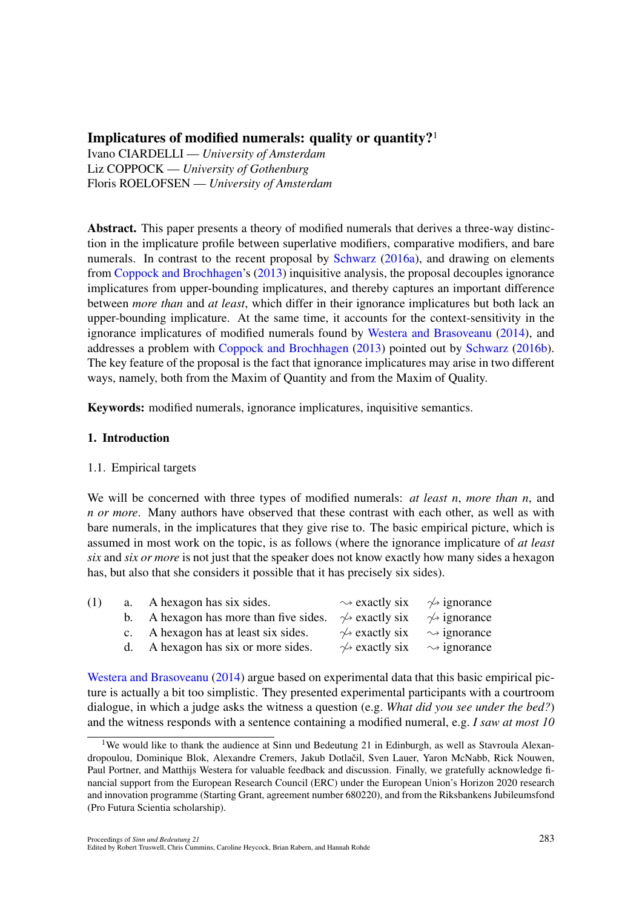### Implicatures of modified numerals: quality or quantity?<sup>1</sup>

Ivano CIARDELLI — *University of Amsterdam* Liz COPPOCK — *University of Gothenburg* Floris ROELOFSEN — *University of Amsterdam*

Abstract. This paper presents a theory of modified numerals that derives a three-way distinction in the implicature profile between superlative modifiers, comparative modifiers, and bare numerals. In contrast to the recent proposal by Schwarz (2016a), and drawing on elements from Coppock and Brochhagen's (2013) inquisitive analysis, the proposal decouples ignorance implicatures from upper-bounding implicatures, and thereby captures an important difference between *more than* and *at least*, which differ in their ignorance implicatures but both lack an upper-bounding implicature. At the same time, it accounts for the context-sensitivity in the ignorance implicatures of modified numerals found by Westera and Brasoveanu (2014), and addresses a problem with Coppock and Brochhagen (2013) pointed out by Schwarz (2016b). The key feature of the proposal is the fact that ignorance implicatures may arise in two different ways, namely, both from the Maxim of Quantity and from the Maxim of Quality.

Keywords: modified numerals, ignorance implicatures, inquisitive semantics.

#### 1. Introduction

#### 1.1. Empirical targets

We will be concerned with three types of modified numerals: *at least n*, *more than n*, and *n or more*. Many authors have observed that these contrast with each other, as well as with bare numerals, in the implicatures that they give rise to. The basic empirical picture, which is assumed in most work on the topic, is as follows (where the ignorance implicature of *at least six* and *six or more* is not just that the speaker does not know exactly how many sides a hexagon has, but also that she considers it possible that it has precisely six sides).

| (1) | a. A hexagon has six sides.            | $\rightsquigarrow$ exactly six $\rightsquigarrow$ ignorance |                              |
|-----|----------------------------------------|-------------------------------------------------------------|------------------------------|
|     | b. A hexagon has more than five sides. | $\rightsquigarrow$ exactly six                              | $\rightsquigarrow$ ignorance |
|     | c. A hexagon has at least six sides.   | $\rightsquigarrow$ exactly six $\rightsquigarrow$ ignorance |                              |
|     | d. A hexagon has six or more sides.    | $\rightsquigarrow$ exactly six $\rightsquigarrow$ ignorance |                              |
|     |                                        |                                                             |                              |

Westera and Brasoveanu (2014) argue based on experimental data that this basic empirical picture is actually a bit too simplistic. They presented experimental participants with a courtroom dialogue, in which a judge asks the witness a question (e.g. *What did you see under the bed?*) and the witness responds with a sentence containing a modified numeral, e.g. *I saw at most 10*

<sup>&</sup>lt;sup>1</sup>We would like to thank the audience at Sinn und Bedeutung 21 in Edinburgh, as well as Stavroula Alexandropoulou, Dominique Blok, Alexandre Cremers, Jakub Dotlačil, Sven Lauer, Yaron McNabb, Rick Nouwen, Paul Portner, and Matthijs Westera for valuable feedback and discussion. Finally, we gratefully acknowledge financial support from the European Research Council (ERC) under the European Union's Horizon 2020 research and innovation programme (Starting Grant, agreement number 680220), and from the Riksbankens Jubileumsfond (Pro Futura Scientia scholarship).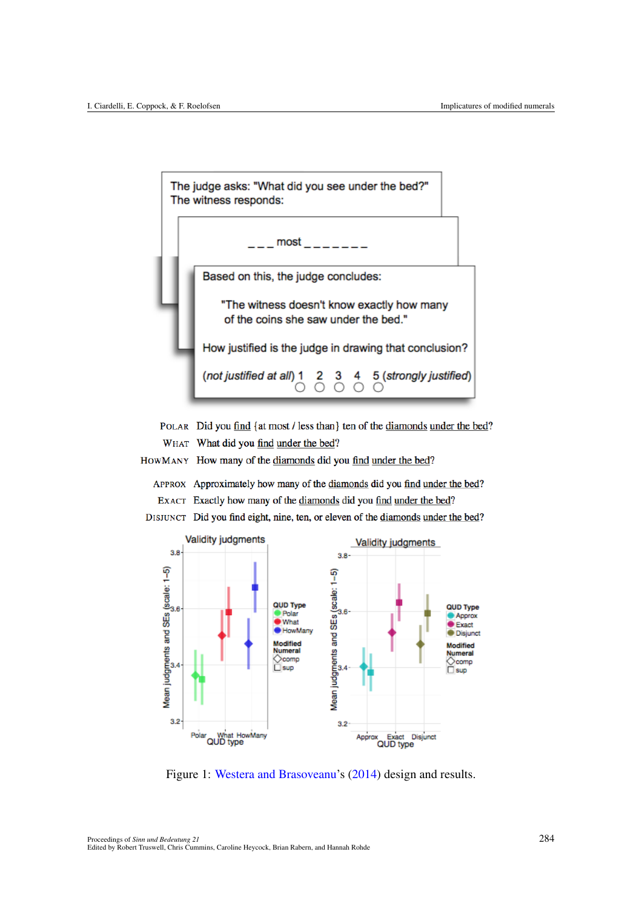

POLAR Did you find {at most / less than} ten of the diamonds under the bed? WHAT What did you find under the bed?

HOWMANY How many of the diamonds did you find under the bed?

APPROX Approximately how many of the diamonds did you find under the bed? EXACT Exactly how many of the diamonds did you find under the bed?





Figure 1: Westera and Brasoveanu's (2014) design and results.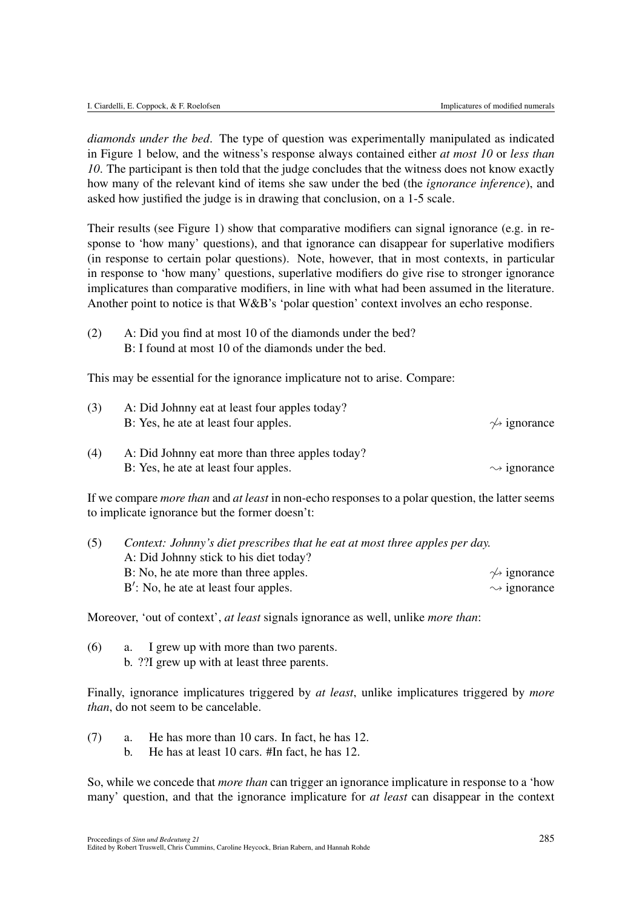*diamonds under the bed*. The type of question was experimentally manipulated as indicated in Figure 1 below, and the witness's response always contained either *at most 10* or *less than 10*. The participant is then told that the judge concludes that the witness does not know exactly how many of the relevant kind of items she saw under the bed (the *ignorance inference*), and asked how justified the judge is in drawing that conclusion, on a 1-5 scale.

Their results (see Figure 1) show that comparative modifiers can signal ignorance (e.g. in response to 'how many' questions), and that ignorance can disappear for superlative modifiers (in response to certain polar questions). Note, however, that in most contexts, in particular in response to 'how many' questions, superlative modifiers do give rise to stronger ignorance implicatures than comparative modifiers, in line with what had been assumed in the literature. Another point to notice is that W&B's 'polar question' context involves an echo response.

(2) A: Did you find at most 10 of the diamonds under the bed? B: I found at most 10 of the diamonds under the bed.

This may be essential for the ignorance implicature not to arise. Compare:

| (3) | A: Did Johnny eat at least four apples today?   |                              |  |  |  |
|-----|-------------------------------------------------|------------------------------|--|--|--|
|     | B: Yes, he at at least four apples.             | $\rightsquigarrow$ ignorance |  |  |  |
| (4) | A: Did Johnny eat more than three apples today? |                              |  |  |  |
|     | B: Yes, he at at least four apples.             | $\sim$ ignorance             |  |  |  |

If we compare *more than* and *at least* in non-echo responses to a polar question, the latter seems to implicate ignorance but the former doesn't:

| (5) | Context: Johnny's diet prescribes that he eat at most three apples per day. |                              |  |  |  |
|-----|-----------------------------------------------------------------------------|------------------------------|--|--|--|
|     | A: Did Johnny stick to his diet today?                                      |                              |  |  |  |
|     | B: No, he ate more than three apples.                                       | $\rightsquigarrow$ ignorance |  |  |  |
|     | $B'$ : No, he ate at least four apples.                                     | $\rightsquigarrow$ ignorance |  |  |  |

Moreover, 'out of context', *at least* signals ignorance as well, unlike *more than*:

(6) a. I grew up with more than two parents. b. ??I grew up with at least three parents.

Finally, ignorance implicatures triggered by *at least*, unlike implicatures triggered by *more than*, do not seem to be cancelable.

- (7) a. He has more than 10 cars. In fact, he has 12.
	- b. He has at least 10 cars. #In fact, he has 12.

So, while we concede that *more than* can trigger an ignorance implicature in response to a 'how many' question, and that the ignorance implicature for *at least* can disappear in the context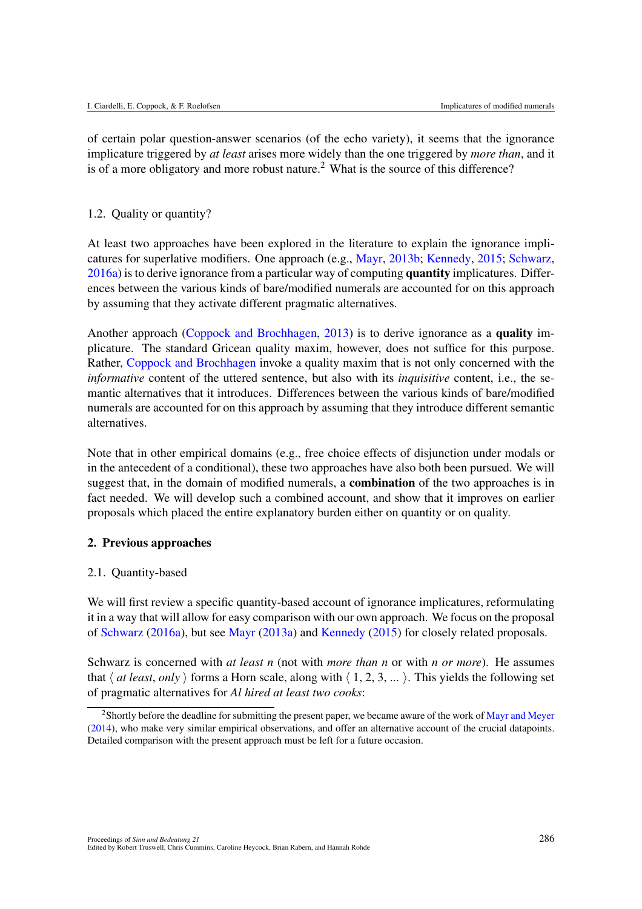of certain polar question-answer scenarios (of the echo variety), it seems that the ignorance implicature triggered by *at least* arises more widely than the one triggered by *more than*, and it is of a more obligatory and more robust nature.<sup>2</sup> What is the source of this difference?

#### 1.2. Quality or quantity?

At least two approaches have been explored in the literature to explain the ignorance implicatures for superlative modifiers. One approach (e.g., Mayr, 2013b; Kennedy, 2015; Schwarz, 2016a) is to derive ignorance from a particular way of computing quantity implicatures. Differences between the various kinds of bare/modified numerals are accounted for on this approach by assuming that they activate different pragmatic alternatives.

Another approach (Coppock and Brochhagen, 2013) is to derive ignorance as a quality implicature. The standard Gricean quality maxim, however, does not suffice for this purpose. Rather, Coppock and Brochhagen invoke a quality maxim that is not only concerned with the *informative* content of the uttered sentence, but also with its *inquisitive* content, i.e., the semantic alternatives that it introduces. Differences between the various kinds of bare/modified numerals are accounted for on this approach by assuming that they introduce different semantic alternatives.

Note that in other empirical domains (e.g., free choice effects of disjunction under modals or in the antecedent of a conditional), these two approaches have also both been pursued. We will suggest that, in the domain of modified numerals, a combination of the two approaches is in fact needed. We will develop such a combined account, and show that it improves on earlier proposals which placed the entire explanatory burden either on quantity or on quality.

#### 2. Previous approaches

#### 2.1. Quantity-based

We will first review a specific quantity-based account of ignorance implicatures, reformulating it in a way that will allow for easy comparison with our own approach. We focus on the proposal of Schwarz (2016a), but see Mayr (2013a) and Kennedy (2015) for closely related proposals.

Schwarz is concerned with *at least n* (not with *more than n* or with *n or more*). He assumes that  $\langle$  *at least, only*  $\rangle$  forms a Horn scale, along with  $\langle$  1, 2, 3, ...  $\rangle$ . This yields the following set of pragmatic alternatives for *Al hired at least two cooks*:

<sup>&</sup>lt;sup>2</sup>Shortly before the deadline for submitting the present paper, we became aware of the work of Mayr and Meyer (2014), who make very similar empirical observations, and offer an alternative account of the crucial datapoints. Detailed comparison with the present approach must be left for a future occasion.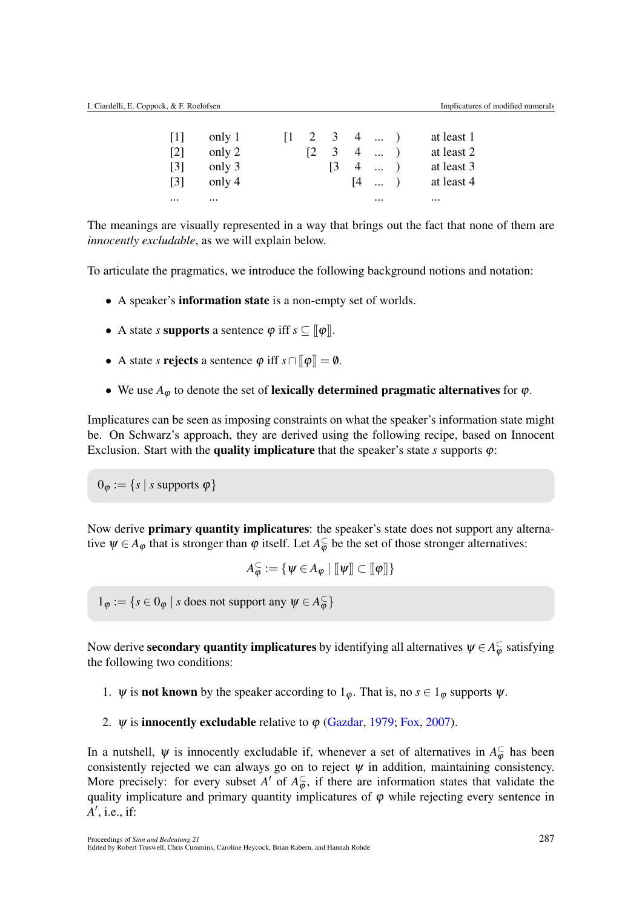| $\lceil 1 \rceil$ | only 1   |  | $\begin{bmatrix} 1 & 2 & 3 & 4 & \dots \end{bmatrix}$ |                                        | at least 1 |
|-------------------|----------|--|-------------------------------------------------------|----------------------------------------|------------|
| $\lceil 2 \rceil$ | only 2   |  | $\begin{bmatrix} 2 & 3 & 4 & \dots \end{bmatrix}$     |                                        | at least 2 |
| $\lceil 3 \rceil$ | only 3   |  | $\begin{pmatrix} 3 & 4 & \dots \end{pmatrix}$         |                                        | at least 3 |
| $\lceil 3 \rceil$ | only 4   |  |                                                       | $\begin{bmatrix} 4 &  & \end{bmatrix}$ | at least 4 |
| $\cdots$          | $\cdots$ |  |                                                       | $\cdots$                               | $\cdots$   |

The meanings are visually represented in a way that brings out the fact that none of them are *innocently excludable*, as we will explain below.

To articulate the pragmatics, we introduce the following background notions and notation:

- A speaker's **information state** is a non-empty set of worlds.
- A state *s* supports a sentence  $\varphi$  iff  $s \subseteq \llbracket \varphi \rrbracket$ .
- A state *s* rejects a sentence  $\varphi$  iff  $s \cap [\![\varphi]\!] = \varnothing$ .
- We use  $A_{\varphi}$  to denote the set of lexically determined pragmatic alternatives for  $\varphi$ .

Implicatures can be seen as imposing constraints on what the speaker's information state might be. On Schwarz's approach, they are derived using the following recipe, based on Innocent Exclusion. Start with the **quality implicature** that the speaker's state  $s$  supports  $\varphi$ :

 $0_{\varphi} := \{ s \mid s \text{ supports } \varphi \}$ 

Now derive **primary quantity implicatures**: the speaker's state does not support any alternative  $\psi \in A_{\varphi}$  that is stronger than  $\varphi$  itself. Let  $A_{\varphi}^{\subset}$  be the set of those stronger alternatives:

 $A_\varphi^\subset := \{ \psi \in A_\varphi \mid [\![\psi]\!] \subset [\![\varphi]\!] \}$ 

 $1_{\varphi} := \{ s \in 0_{\varphi} \mid s \text{ does not support any } \psi \in A_{\varphi}^{\subset} \}$ 

Now derive **secondary quantity implicatures** by identifying all alternatives  $\psi \in A_\varphi^{\subset}$  satisfying the following two conditions:

- 1.  $\psi$  is **not known** by the speaker according to  $1_{\varphi}$ . That is, no  $s \in 1_{\varphi}$  supports  $\psi$ .
- 2.  $\psi$  is **innocently excludable** relative to  $\varphi$  (Gazdar, 1979; Fox, 2007).

In a nutshell,  $\psi$  is innocently excludable if, whenever a set of alternatives in  $A_{\varphi}^{\subset}$  has been consistently rejected we can always go on to reject  $\psi$  in addition, maintaining consistency. More precisely: for every subset *A'* of  $A_{\varphi}^{\subset}$ , if there are information states that validate the quality implicature and primary quantity implicatures of  $\varphi$  while rejecting every sentence in *A'*, i.e., if: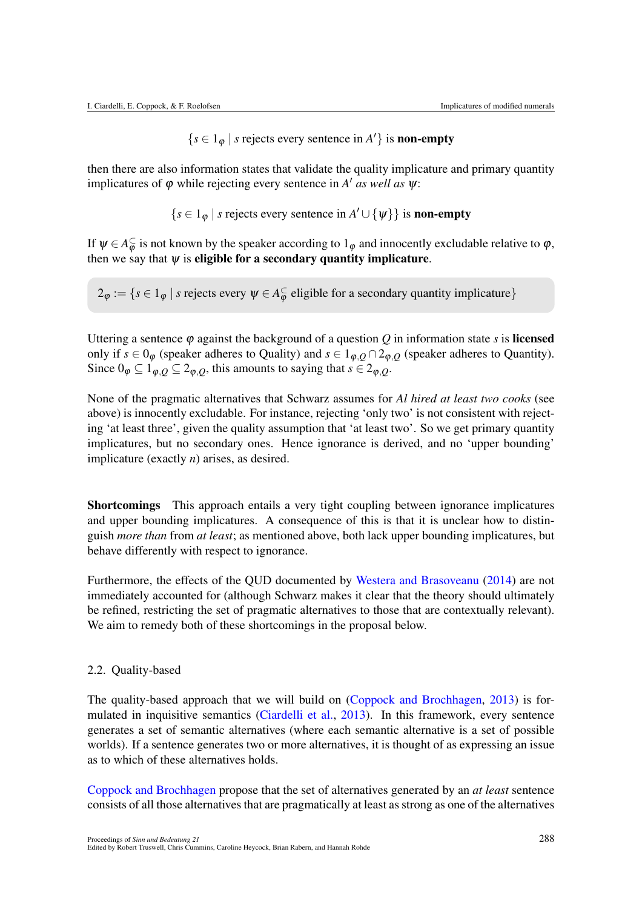$\{s \in 1_{\varphi} \mid s \text{ rejects every sentence in } A'\} \text{ is non-empty}$ 

then there are also information states that validate the quality implicature and primary quantity implicatures of  $\varphi$  while rejecting every sentence in *A' as well as*  $\psi$ :

 $\{s \in 1_{\varphi} \mid s \text{ rejects every sentence in } A' \cup \{\psi\}\}\$ is non-empty

If  $\psi \in A_{\varphi}^{\subset}$  is not known by the speaker according to  $1_{\varphi}$  and innocently excludable relative to  $\varphi$ , then we say that  $\psi$  is eligible for a secondary quantity implicature.

 $2_{\varphi} := \{s \in 1_{\varphi} \mid s \text{ rejects every } \psi \in A_{\varphi}^{\subset} \text{ eligible for a secondary quantity implicative}\}\$ 

Uttering a sentence  $\varphi$  against the background of a question *Q* in information state *s* is **licensed** only if  $s \in 0_{\varphi}$  (speaker adheres to Quality) and  $s \in 1_{\varphi,Q} \cap 2_{\varphi,Q}$  (speaker adheres to Quantity). Since  $0_{\varphi} \subseteq 1_{\varphi,Q} \subseteq 2_{\varphi,Q}$ , this amounts to saying that  $s \in 2_{\varphi,Q}$ .

None of the pragmatic alternatives that Schwarz assumes for *Al hired at least two cooks* (see above) is innocently excludable. For instance, rejecting 'only two' is not consistent with rejecting 'at least three', given the quality assumption that 'at least two'. So we get primary quantity implicatures, but no secondary ones. Hence ignorance is derived, and no 'upper bounding' implicature (exactly *n*) arises, as desired.

Shortcomings This approach entails a very tight coupling between ignorance implicatures and upper bounding implicatures. A consequence of this is that it is unclear how to distinguish *more than* from *at least*; as mentioned above, both lack upper bounding implicatures, but behave differently with respect to ignorance.

Furthermore, the effects of the QUD documented by Westera and Brasoveanu (2014) are not immediately accounted for (although Schwarz makes it clear that the theory should ultimately be refined, restricting the set of pragmatic alternatives to those that are contextually relevant). We aim to remedy both of these shortcomings in the proposal below.

#### 2.2. Quality-based

The quality-based approach that we will build on (Coppock and Brochhagen, 2013) is formulated in inquisitive semantics (Ciardelli et al., 2013). In this framework, every sentence generates a set of semantic alternatives (where each semantic alternative is a set of possible worlds). If a sentence generates two or more alternatives, it is thought of as expressing an issue as to which of these alternatives holds.

Coppock and Brochhagen propose that the set of alternatives generated by an *at least* sentence consists of all those alternatives that are pragmatically at least as strong as one of the alternatives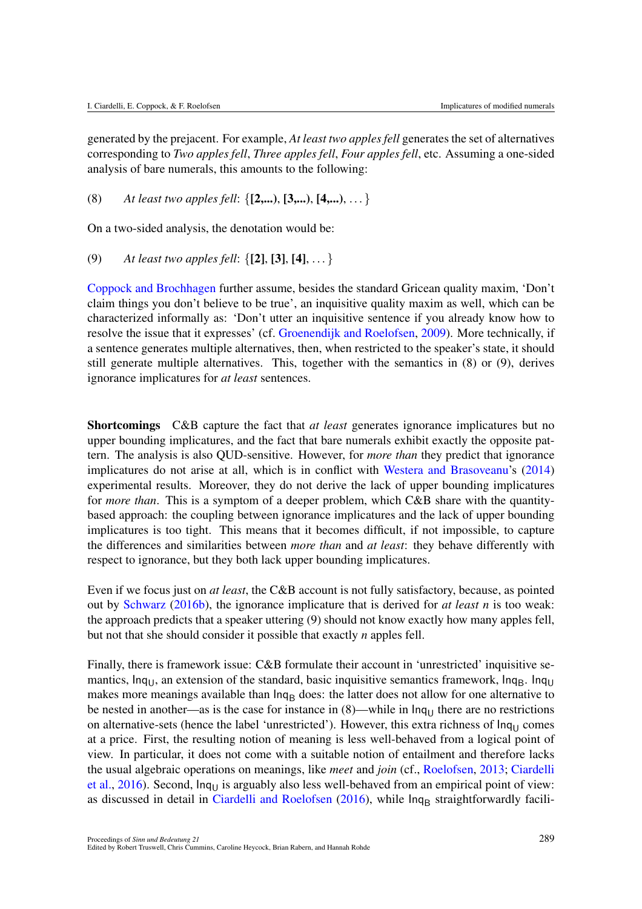generated by the prejacent. For example, *At least two apples fell* generates the set of alternatives corresponding to *Two apples fell*, *Three apples fell*, *Four apples fell*, etc. Assuming a one-sided analysis of bare numerals, this amounts to the following:

(8) *At least two apples fell*: *{*[2,...), [3,...), [4,...),... *}*

On a two-sided analysis, the denotation would be:

(9) *At least two apples fell*: *{*[2], [3], [4],... *}*

Coppock and Brochhagen further assume, besides the standard Gricean quality maxim, 'Don't claim things you don't believe to be true', an inquisitive quality maxim as well, which can be characterized informally as: 'Don't utter an inquisitive sentence if you already know how to resolve the issue that it expresses' (cf. Groenendijk and Roelofsen, 2009). More technically, if a sentence generates multiple alternatives, then, when restricted to the speaker's state, it should still generate multiple alternatives. This, together with the semantics in (8) or (9), derives ignorance implicatures for *at least* sentences.

Shortcomings C&B capture the fact that *at least* generates ignorance implicatures but no upper bounding implicatures, and the fact that bare numerals exhibit exactly the opposite pattern. The analysis is also QUD-sensitive. However, for *more than* they predict that ignorance implicatures do not arise at all, which is in conflict with Westera and Brasoveanu's (2014) experimental results. Moreover, they do not derive the lack of upper bounding implicatures for *more than*. This is a symptom of a deeper problem, which C&B share with the quantitybased approach: the coupling between ignorance implicatures and the lack of upper bounding implicatures is too tight. This means that it becomes difficult, if not impossible, to capture the differences and similarities between *more than* and *at least*: they behave differently with respect to ignorance, but they both lack upper bounding implicatures.

Even if we focus just on *at least*, the C&B account is not fully satisfactory, because, as pointed out by Schwarz (2016b), the ignorance implicature that is derived for *at least n* is too weak: the approach predicts that a speaker uttering (9) should not know exactly how many apples fell, but not that she should consider it possible that exactly *n* apples fell.

Finally, there is framework issue: C&B formulate their account in 'unrestricted' inquisitive semantics,  $Inq<sub>U</sub>$ , an extension of the standard, basic inquisitive semantics framework,  $Inq<sub>B</sub>$ . Inq<sub>U</sub> makes more meanings available than  $\ln q_B$  does: the latter does not allow for one alternative to be nested in another—as is the case for instance in  $(8)$ —while in  $\ln q_U$  there are no restrictions on alternative-sets (hence the label 'unrestricted'). However, this extra richness of  $\ln q_U$  comes at a price. First, the resulting notion of meaning is less well-behaved from a logical point of view. In particular, it does not come with a suitable notion of entailment and therefore lacks the usual algebraic operations on meanings, like *meet* and *join* (cf., Roelofsen, 2013; Ciardelli et al.,  $2016$ ). Second,  $lnq_{U}$  is arguably also less well-behaved from an empirical point of view: as discussed in detail in Ciardelli and Roelofsen  $(2016)$ , while  $ln q_B$  straightforwardly facili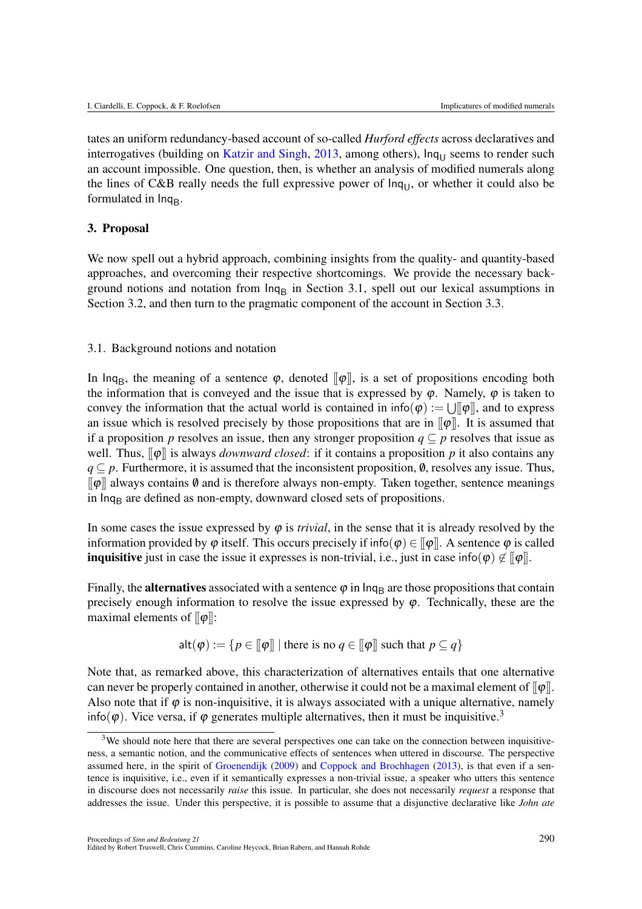tates an uniform redundancy-based account of so-called *Hurford effects* across declaratives and interrogatives (building on Katzir and Singh,  $2013$ , among others),  $\ln q_{U}$  seems to render such an account impossible. One question, then, is whether an analysis of modified numerals along the lines of C&B really needs the full expressive power of  $Inq<sub>U</sub>$ , or whether it could also be formulated in  $Inq<sub>B</sub>$ .

#### 3. Proposal

We now spell out a hybrid approach, combining insights from the quality- and quantity-based approaches, and overcoming their respective shortcomings. We provide the necessary background notions and notation from  $\ln q_B$  in Section 3.1, spell out our lexical assumptions in Section 3.2, and then turn to the pragmatic component of the account in Section 3.3.

#### 3.1. Background notions and notation

In lnq<sub>B</sub>, the meaning of a sentence  $\varphi$ , denoted  $\|\varphi\|$ , is a set of propositions encoding both the information that is conveyed and the issue that is expressed by  $\varphi$ . Namely,  $\varphi$  is taken to convey the information that the actual world is contained in  $info(\varphi) := \bigcup_{\alpha} [\varphi]$ , and to express an issue which is resolved precisely by those propositions that are in  $\llbracket \varphi \rrbracket$ . It is assumed that if a proposition *p* resolves an issue, then any stronger proposition  $q \subseteq p$  resolves that issue as well. Thus,  $\llbracket \phi \rrbracket$  is always *downward closed*: if it contains a proposition p it also contains any  $q \subseteq p$ . Furthermore, it is assumed that the inconsistent proposition,  $\emptyset$ , resolves any issue. Thus,  $\llbracket \varphi \rrbracket$  always contains  $\emptyset$  and is therefore always non-empty. Taken together, sentence meanings in lnq<sub>B</sub> are defined as non-empty, downward closed sets of propositions.

In some cases the issue expressed by  $\varphi$  is *trivial*, in the sense that it is already resolved by the information provided by  $\varphi$  itself. This occurs precisely if info( $\varphi$ )  $\in$   $[\varphi]$ . A sentence  $\varphi$  is called **inquisitive** just in case the issue it expresses is non-trivial, i.e., just in case info( $\varphi$ )  $\notin$   $[\varphi]$ .

Finally, the **alternatives** associated with a sentence  $\varphi$  in  $\ln q_B$  are those propositions that contain precisely enough information to resolve the issue expressed by  $\varphi$ . Technically, these are the maximal elements of  $\llbracket \phi \rrbracket$ :

$$
\mathsf{alt}(\varphi) := \{ p \in [\![\varphi]\!] \mid \text{there is no } q \in [\![\varphi]\!] \text{ such that } p \subseteq q \}
$$

Note that, as remarked above, this characterization of alternatives entails that one alternative can never be properly contained in another, otherwise it could not be a maximal element of  $[\varphi]$ . Also note that if  $\varphi$  is non-inquisitive, it is always associated with a unique alternative, namely info( $\varphi$ ). Vice versa, if  $\varphi$  generates multiple alternatives, then it must be inquisitive.<sup>3</sup>

<sup>&</sup>lt;sup>3</sup>We should note here that there are several perspectives one can take on the connection between inquisitiveness, a semantic notion, and the communicative effects of sentences when uttered in discourse. The perspective assumed here, in the spirit of Groenendijk (2009) and Coppock and Brochhagen (2013), is that even if a sentence is inquisitive, i.e., even if it semantically expresses a non-trivial issue, a speaker who utters this sentence in discourse does not necessarily *raise* this issue. In particular, she does not necessarily *request* a response that addresses the issue. Under this perspective, it is possible to assume that a disjunctive declarative like *John ate*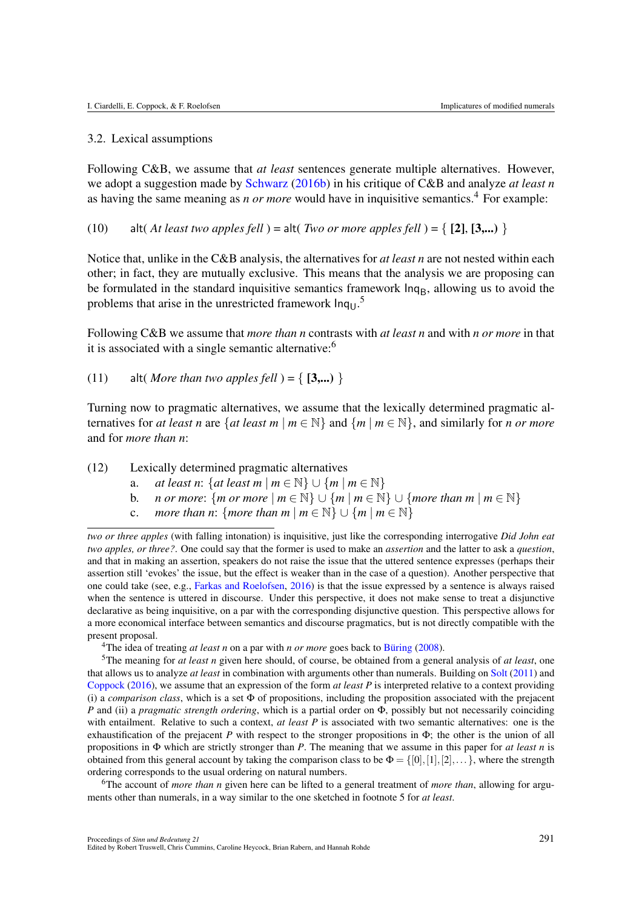#### 3.2. Lexical assumptions

Following C&B, we assume that *at least* sentences generate multiple alternatives. However, we adopt a suggestion made by Schwarz (2016b) in his critique of C&B and analyze *at least n* as having the same meaning as *n or more* would have in inquisitive semantics.4 For example:

(10) alt( *At least two apples fell* ) = alt( *Two or more apples fell* ) =  $\{ [2], [3,...) \}$ 

Notice that, unlike in the C&B analysis, the alternatives for *at least n* are not nested within each other; in fact, they are mutually exclusive. This means that the analysis we are proposing can be formulated in the standard inquisitive semantics framework  $\ln q_B$ , allowing us to avoid the problems that arise in the unrestricted framework  $\text{Inq}_{\text{U}}$ .<sup>5</sup>

Following C&B we assume that *more than n* contrasts with *at least n* and with *n or more* in that it is associated with a single semantic alternative:<sup>6</sup>

(11) alt( *More than two apples fell* ) =  $\{ [3,...) \}$ 

Turning now to pragmatic alternatives, we assume that the lexically determined pragmatic alternatives for *at least n* are  $\{at least m \mid m \in \mathbb{N}\}\$  and  $\{m \mid m \in \mathbb{N}\}\$ , and similarly for *n* or more and for *more than n*:

(12) Lexically determined pragmatic alternatives

- a. *at least n*:  $\{at \text{ least } m \mid m \in \mathbb{N}\} \cup \{m \mid m \in \mathbb{N}\}$ <br>b. *n or more*:  $\{m \text{ or } more \mid m \in \mathbb{N}\} \cup \{m \mid m \in \mathbb{N}\}$
- b. *n or more*:  $\{m \text{ or } more \mid m \in \mathbb{N}\} \cup \{m \mid m \in \mathbb{N}\} \cup \{more than m \mid m \in \mathbb{N}\}\$ <br>c. *more than n*:  $\{more than m \mid m \in \mathbb{N}\} \cup \{m \mid m \in \mathbb{N}\}\$
- *more than n*: *{more than m*  $|m \in \mathbb{N}\} \cup \{m | m \in \mathbb{N}\}$

6The account of *more than n* given here can be lifted to a general treatment of *more than*, allowing for arguments other than numerals, in a way similar to the one sketched in footnote 5 for *at least*.

*two or three apples* (with falling intonation) is inquisitive, just like the corresponding interrogative *Did John eat two apples, or three?*. One could say that the former is used to make an *assertion* and the latter to ask a *question*, and that in making an assertion, speakers do not raise the issue that the uttered sentence expresses (perhaps their assertion still 'evokes' the issue, but the effect is weaker than in the case of a question). Another perspective that one could take (see, e.g., Farkas and Roelofsen, 2016) is that the issue expressed by a sentence is always raised when the sentence is uttered in discourse. Under this perspective, it does not make sense to treat a disjunctive declarative as being inquisitive, on a par with the corresponding disjunctive question. This perspective allows for a more economical interface between semantics and discourse pragmatics, but is not directly compatible with the present proposal.

<sup>&</sup>lt;sup>4</sup>The idea of treating *at least n* on a par with *n or more* goes back to Büring  $(2008)$ .

<sup>5</sup>The meaning for *at least n* given here should, of course, be obtained from a general analysis of *at least*, one that allows us to analyze *at least* in combination with arguments other than numerals. Building on Solt (2011) and Coppock (2016), we assume that an expression of the form *at least P* is interpreted relative to a context providing (i) a *comparison class*, which is a set  $\Phi$  of propositions, including the proposition associated with the prejacent *P* and (ii) a *pragmatic strength ordering*, which is a partial order on  $\Phi$ , possibly but not necessarily coinciding with entailment. Relative to such a context, *at least P* is associated with two semantic alternatives: one is the exhaustification of the prejacent  $P$  with respect to the stronger propositions in  $\Phi$ ; the other is the union of all propositions in  $\Phi$  which are strictly stronger than *P*. The meaning that we assume in this paper for *at least n* is obtained from this general account by taking the comparison class to be  $\Phi = \{[0], [1], [2], \ldots\}$ , where the strength ordering corresponds to the usual ordering on natural numbers.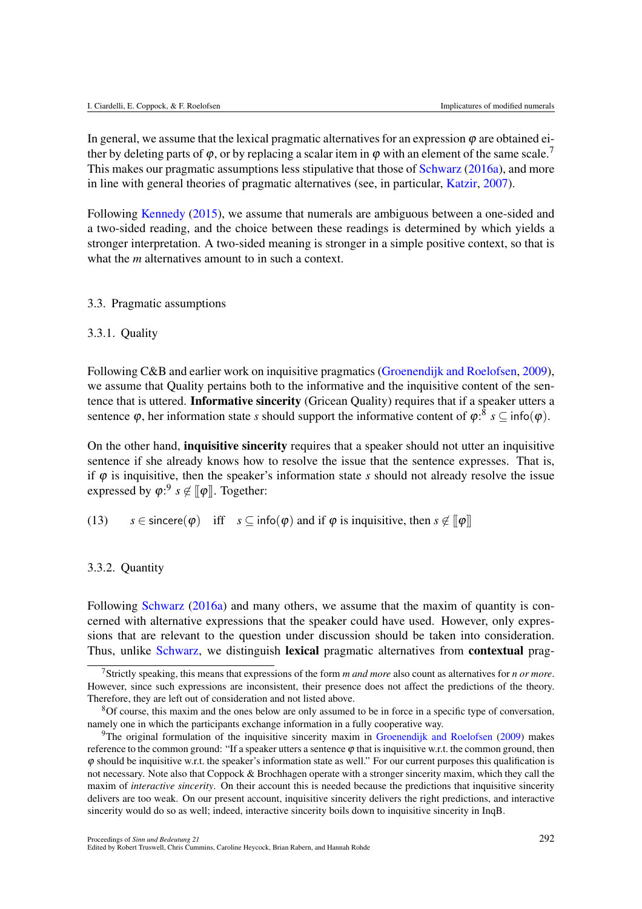In general, we assume that the lexical pragmatic alternatives for an expression  $\varphi$  are obtained either by deleting parts of  $\varphi$ , or by replacing a scalar item in  $\varphi$  with an element of the same scale.<sup>7</sup> This makes our pragmatic assumptions less stipulative that those of Schwarz (2016a), and more in line with general theories of pragmatic alternatives (see, in particular, Katzir, 2007).

Following Kennedy (2015), we assume that numerals are ambiguous between a one-sided and a two-sided reading, and the choice between these readings is determined by which yields a stronger interpretation. A two-sided meaning is stronger in a simple positive context, so that is what the *m* alternatives amount to in such a context.

#### 3.3. Pragmatic assumptions

#### 3.3.1. Quality

Following C&B and earlier work on inquisitive pragmatics (Groenendijk and Roelofsen, 2009), we assume that Quality pertains both to the informative and the inquisitive content of the sentence that is uttered. Informative sincerity (Gricean Quality) requires that if a speaker utters a sentence  $\varphi$ , her information state *s* should support the informative content of  $\varphi$ :<sup>8</sup> *s*  $\subseteq$  info( $\varphi$ ).

On the other hand, inquisitive sincerity requires that a speaker should not utter an inquisitive sentence if she already knows how to resolve the issue that the sentence expresses. That is, if  $\varphi$  is inquisitive, then the speaker's information state *s* should not already resolve the issue expressed by  $\varphi$ :<sup>9</sup>  $s \notin [\![\varphi]\!]$ . Together:

(13)  $s \in \text{since}(\varphi)$  iff  $s \subset \text{info}(\varphi)$  and if  $\varphi$  is inquisitive, then  $s \notin [\varphi]$ 

#### 3.3.2. Quantity

Following Schwarz (2016a) and many others, we assume that the maxim of quantity is concerned with alternative expressions that the speaker could have used. However, only expressions that are relevant to the question under discussion should be taken into consideration. Thus, unlike Schwarz, we distinguish lexical pragmatic alternatives from **contextual** prag-

<sup>7</sup>Strictly speaking, this means that expressions of the form *m and more* also count as alternatives for *n or more*. However, since such expressions are inconsistent, their presence does not affect the predictions of the theory. Therefore, they are left out of consideration and not listed above.

<sup>8</sup>Of course, this maxim and the ones below are only assumed to be in force in a specific type of conversation, namely one in which the participants exchange information in a fully cooperative way.

<sup>9</sup>The original formulation of the inquisitive sincerity maxim in Groenendijk and Roelofsen (2009) makes reference to the common ground: "If a speaker utters a sentence  $\varphi$  that is inquisitive w.r.t. the common ground, then  $\varphi$  should be inquisitive w.r.t. the speaker's information state as well." For our current purposes this qualification is not necessary. Note also that Coppock & Brochhagen operate with a stronger sincerity maxim, which they call the maxim of *interactive sincerity*. On their account this is needed because the predictions that inquisitive sincerity delivers are too weak. On our present account, inquisitive sincerity delivers the right predictions, and interactive sincerity would do so as well; indeed, interactive sincerity boils down to inquisitive sincerity in InqB.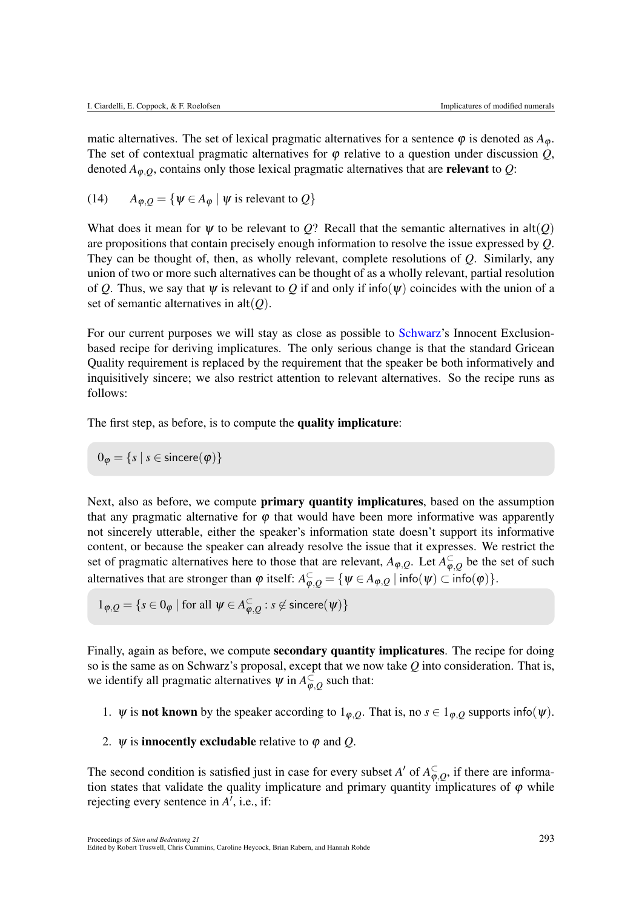matic alternatives. The set of lexical pragmatic alternatives for a sentence  $\varphi$  is denoted as  $A_{\varphi}$ . The set of contextual pragmatic alternatives for  $\varphi$  relative to a question under discussion  $Q$ , denoted  $A_{\varphi,Q}$ , contains only those lexical pragmatic alternatives that are **relevant** to *Q*:

(14) 
$$
A_{\varphi,Q} = {\psi \in A_{\varphi} | \psi \text{ is relevant to } Q}
$$

What does it mean for  $\psi$  to be relevant to Q? Recall that the semantic alternatives in  $alt(Q)$ are propositions that contain precisely enough information to resolve the issue expressed by *Q*. They can be thought of, then, as wholly relevant, complete resolutions of *Q*. Similarly, any union of two or more such alternatives can be thought of as a wholly relevant, partial resolution of Q. Thus, we say that  $\psi$  is relevant to Q if and only if info( $\psi$ ) coincides with the union of a set of semantic alternatives in  $alt(Q)$ .

For our current purposes we will stay as close as possible to Schwarz's Innocent Exclusionbased recipe for deriving implicatures. The only serious change is that the standard Gricean Quality requirement is replaced by the requirement that the speaker be both informatively and inquisitively sincere; we also restrict attention to relevant alternatives. So the recipe runs as follows:

The first step, as before, is to compute the quality implicature:

 $0_{\varphi} = \{s \mid s \in \text{since}(\varphi)\}\$ 

Next, also as before, we compute **primary quantity implicatures**, based on the assumption that any pragmatic alternative for  $\varphi$  that would have been more informative was apparently not sincerely utterable, either the speaker's information state doesn't support its informative content, or because the speaker can already resolve the issue that it expresses. We restrict the set of pragmatic alternatives here to those that are relevant,  $A_{\varphi,Q}$ . Let  $A_{\varphi,Q}^{\subset}$  be the set of such alternatives that are stronger than  $\varphi$  itself:  $A_{\varphi, Q}^{\subset} = {\{\psi \in A_{\varphi, Q} \mid \text{info}(\psi) \subset \text{info}(\varphi)\}}.$ 

$$
1_{\varphi,Q} = \{ s \in 0_{\varphi} \mid \text{for all } \psi \in A_{\varphi,Q}^{\subset} : s \not\in \text{since}(\psi) \}
$$

Finally, again as before, we compute **secondary quantity implicatures**. The recipe for doing so is the same as on Schwarz's proposal, except that we now take *Q* into consideration. That is, we identify all pragmatic alternatives  $\psi$  in  $A_{\varphi,Q}^{\subset}$  such that:

- 1.  $\psi$  is **not known** by the speaker according to  $1_{\varphi, Q}$ . That is, no  $s \in 1_{\varphi, Q}$  supports info( $\psi$ ).
- 2.  $\psi$  is **innocently excludable** relative to  $\varphi$  and *Q*.

The second condition is satisfied just in case for every subset *A'* of  $A_{\varphi,Q}^{\subset}$ , if there are information states that validate the quality implicature and primary quantity implicatures of  $\varphi$  while rejecting every sentence in  $A'$ , i.e., if: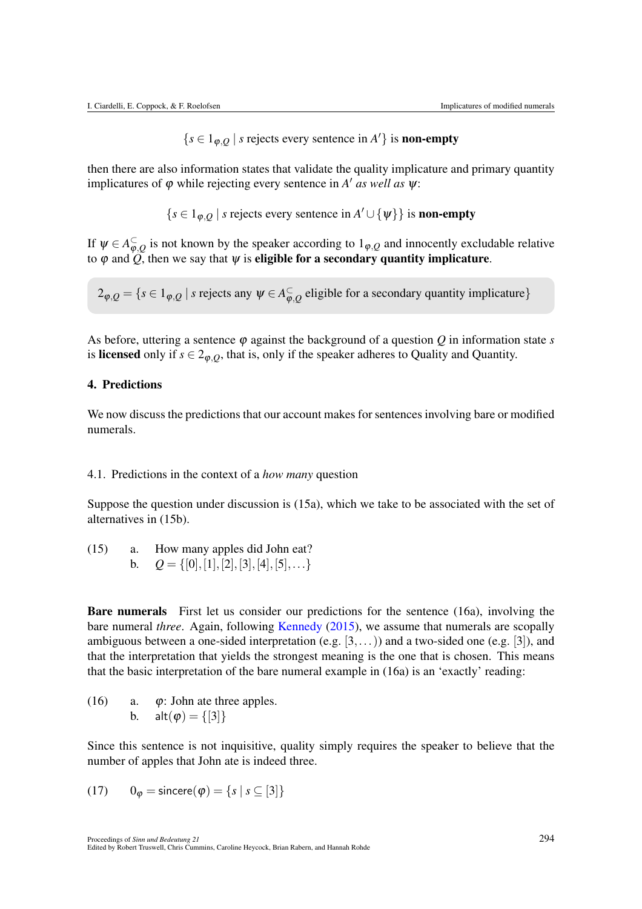$\{s \in 1_{\varphi, Q} \mid s \text{ rejects every sentence in } A'\} \text{ is non-empty}$ 

then there are also information states that validate the quality implicature and primary quantity implicatures of  $\varphi$  while rejecting every sentence in *A' as well as*  $\psi$ :

$$
\{s \in 1_{\varphi,Q} \mid s \text{ rejects every sentence in } A' \cup \{\psi\}\} \text{ is non-empty}
$$

If  $\psi \in A_{\varphi,Q}^{\subset}$  is not known by the speaker according to  $1_{\varphi,Q}$  and innocently excludable relative to  $\varphi$  and  $\widetilde{Q}$ , then we say that  $\psi$  is **eligible for a secondary quantity implicature**.

$$
2_{\varphi,Q} = \{ s \in 1_{\varphi,Q} \mid s \text{ rejects any } \psi \in A_{\varphi,Q}^{\subset} \text{ eligible for a secondary quantity implicative} \}
$$

As before, uttering a sentence  $\varphi$  against the background of a question  $Q$  in information state  $s$ is licensed only if  $s \in 2_{\varphi,0}$ , that is, only if the speaker adheres to Quality and Quantity.

#### 4. Predictions

We now discuss the predictions that our account makes for sentences involving bare or modified numerals.

#### 4.1. Predictions in the context of a *how many* question

Suppose the question under discussion is (15a), which we take to be associated with the set of alternatives in (15b).

(15) a. How many apples did John eat? b. *Q* = *{*[0]*,*[1]*,*[2]*,*[3]*,*[4]*,*[5]*,...}*

Bare numerals First let us consider our predictions for the sentence (16a), involving the bare numeral *three*. Again, following Kennedy (2015), we assume that numerals are scopally ambiguous between a one-sided interpretation (e.g. [3*,...*)) and a two-sided one (e.g. [3]), and that the interpretation that yields the strongest meaning is the one that is chosen. This means that the basic interpretation of the bare numeral example in (16a) is an 'exactly' reading:

(16) a.  $\varphi$ : John ate three apples. b. alt $(\varphi) = \{ [3] \}$ 

Since this sentence is not inquisitive, quality simply requires the speaker to believe that the number of apples that John ate is indeed three.

(17) 
$$
0_{\varphi} = \text{since } (\varphi) = \{s \mid s \subseteq [3]\}
$$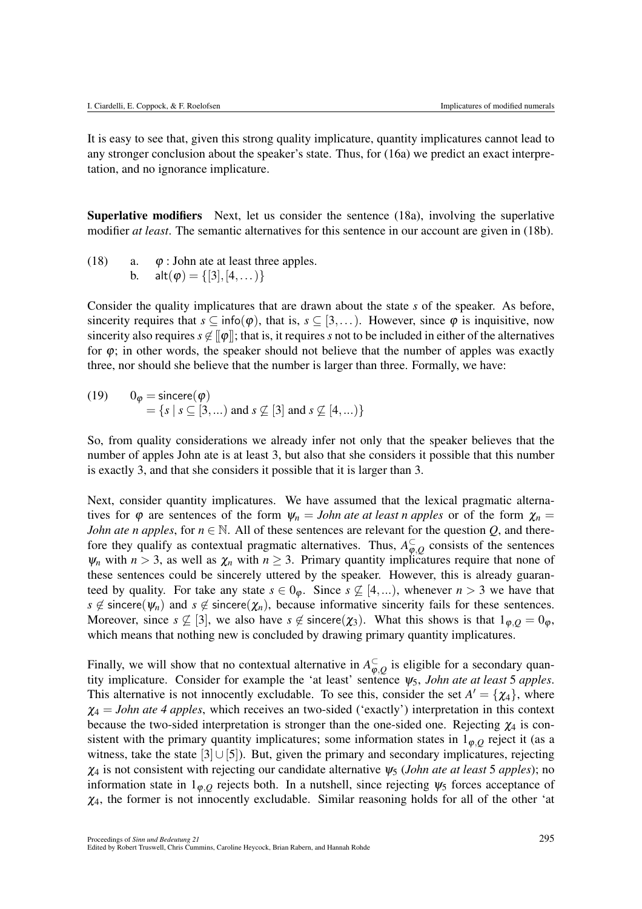It is easy to see that, given this strong quality implicature, quantity implicatures cannot lead to any stronger conclusion about the speaker's state. Thus, for (16a) we predict an exact interpretation, and no ignorance implicature.

Superlative modifiers Next, let us consider the sentence (18a), involving the superlative modifier *at least*. The semantic alternatives for this sentence in our account are given in (18b).

(18) a.  $\varphi$ : John ate at least three apples. b. alt $(\varphi) = \{ [3], [4, \dots) \}$ 

Consider the quality implicatures that are drawn about the state *s* of the speaker. As before, sincerity requires that  $s \subseteq \text{info}(\varphi)$ , that is,  $s \subseteq [3,...)$ . However, since  $\varphi$  is inquisitive, now sincerity also requires  $s \notin [\![\varphi]\!]$ ; that is, it requires *s* not to be included in either of the alternatives for  $\varphi$ ; in other words, the speaker should not believe that the number of apples was exactly three, nor should she believe that the number is larger than three. Formally, we have:

(19)  $0_{\varphi} = \text{sincere}(\varphi)$  $= \{ s \mid s \subseteq [3, \ldots) \text{ and } s \not\subseteq [3] \text{ and } s \not\subseteq [4, \ldots) \}$ 

So, from quality considerations we already infer not only that the speaker believes that the number of apples John ate is at least 3, but also that she considers it possible that this number is exactly 3, and that she considers it possible that it is larger than 3.

Next, consider quantity implicatures. We have assumed that the lexical pragmatic alternatives for  $\varphi$  are sentences of the form  $\psi_n = John$  ate at least n apples or of the form  $\chi_n =$ *John ate n apples*, for  $n \in \mathbb{N}$ . All of these sentences are relevant for the question *Q*, and therefore they qualify as contextual pragmatic alternatives. Thus,  $A_{\varphi,Q}^{\subset}$  consists of the sentences  $\psi_n$  with  $n > 3$ , as well as  $\chi_n$  with  $n \geq 3$ . Primary quantity implicatures require that none of these sentences could be sincerely uttered by the speaker. However, this is already guaranteed by quality. For take any state  $s \in 0_{\varphi}$ . Since  $s \nsubseteq [4,...)$ , whenever  $n > 3$  we have that  $s \notin$  sincere( $\psi_n$ ) and  $s \notin$  sincere( $\chi_n$ ), because informative sincerity fails for these sentences. Moreover, since  $s \not\subseteq [3]$ , we also have  $s \not\in$  sincere( $\chi_3$ ). What this shows is that  $1_{\phi,0} = 0_{\phi}$ , which means that nothing new is concluded by drawing primary quantity implicatures.

Finally, we will show that no contextual alternative in  $A_{\varphi,Q}^{\subset}$  is eligible for a secondary quantity implicature. Consider for example the 'at least' sentence  $\psi_5$ , *John ate at least* 5 *apples*. This alternative is not innocently excludable. To see this, consider the set  $A' = \{ \chi_4 \}$ , where  $\chi_4 = John$  ate 4 apples, which receives an two-sided ('exactly') interpretation in this context because the two-sided interpretation is stronger than the one-sided one. Rejecting  $\chi_4$  is consistent with the primary quantity implicatures; some information states in  $1_{\phi,0}$  reject it (as a witness, take the state  $[3] \cup [5]$ . But, given the primary and secondary implicatures, rejecting  $\chi_4$  is not consistent with rejecting our candidate alternative  $\psi_5$  (*John ate at least* 5 *apples*); no information state in  $1_{\varphi,0}$  rejects both. In a nutshell, since rejecting  $\psi_5$  forces acceptance of  $\chi_4$ , the former is not innocently excludable. Similar reasoning holds for all of the other 'at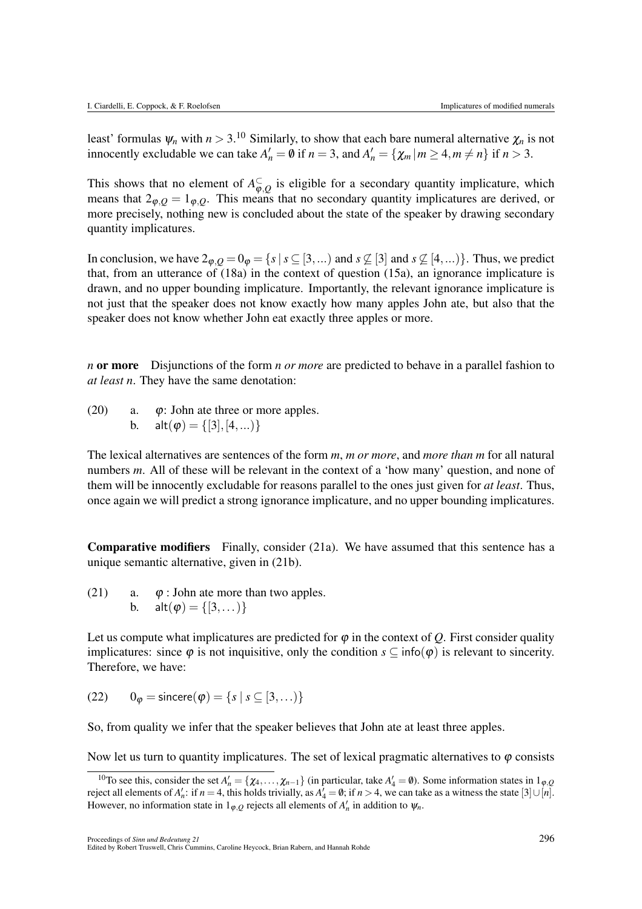least' formulas  $\psi_n$  with  $n > 3$ .<sup>10</sup> Similarly, to show that each bare numeral alternative  $\chi_n$  is not innocently excludable we can take  $A'_n = \emptyset$  if  $n = 3$ , and  $A'_n = \{ \chi_m | m \geq 4, m \neq n \}$  if  $n > 3$ .

This shows that no element of  $A_{\varphi,Q}^{\subset}$  is eligible for a secondary quantity implicature, which means that  $2\varphi$ , *Q* =  $1\varphi$ , *Q*. This means that no secondary quantity implicatures are derived, or more precisely, nothing new is concluded about the state of the speaker by drawing secondary quantity implicatures.

In conclusion, we have  $2\varphi$ , $Q = 0$  $\varphi = \{s \mid s \subseteq [3, \ldots) \}$  and  $s \nsubseteq [3]$  and  $s \nsubseteq [4, \ldots) \}$ . Thus, we predict that, from an utterance of (18a) in the context of question (15a), an ignorance implicature is drawn, and no upper bounding implicature. Importantly, the relevant ignorance implicature is not just that the speaker does not know exactly how many apples John ate, but also that the speaker does not know whether John eat exactly three apples or more.

*n* or more Disjunctions of the form *n or more* are predicted to behave in a parallel fashion to *at least n*. They have the same denotation:

(20) a.  $\varphi$ : John ate three or more apples. b. alt $(\varphi) = \{ [3], [4, \ldots) \}$ 

The lexical alternatives are sentences of the form *m*, *m or more*, and *more than m* for all natural numbers *m*. All of these will be relevant in the context of a 'how many' question, and none of them will be innocently excludable for reasons parallel to the ones just given for *at least*. Thus, once again we will predict a strong ignorance implicature, and no upper bounding implicatures.

Comparative modifiers Finally, consider (21a). We have assumed that this sentence has a unique semantic alternative, given in (21b).

(21) a.  $\varphi$ : John ate more than two apples. b. alt $(\varphi) = \{ [3, \dots) \}$ 

Let us compute what implicatures are predicted for  $\varphi$  in the context of *Q*. First consider quality implicatures: since  $\varphi$  is not inquisitive, only the condition  $s \subseteq \text{info}(\varphi)$  is relevant to sincerity. Therefore, we have:

 $(22)$  0<sub> $\varphi$ </sub> = sincere $(\varphi)$  = {*s* | *s*  $\subseteq$  [3,...)}

So, from quality we infer that the speaker believes that John ate at least three apples.

Now let us turn to quantity implicatures. The set of lexical pragmatic alternatives to  $\varphi$  consists

<sup>&</sup>lt;sup>10</sup>To see this, consider the set  $A'_n = \{\chi_4, \ldots, \chi_{n-1}\}$  (in particular, take  $A'_4 = \emptyset$ ). Some information states in 1<sub>*g*</sub>,*Q* reject all elements of  $A'_n$ : if  $n = 4$ , this holds trivially, as  $A'_4 = \emptyset$ ; if  $n > 4$ , we can take as a witness the state  $[3] \cup [n]$ . However, no information state in  $1_{\varphi,Q}$  rejects all elements of  $A'_n$  in addition to  $\psi_n$ .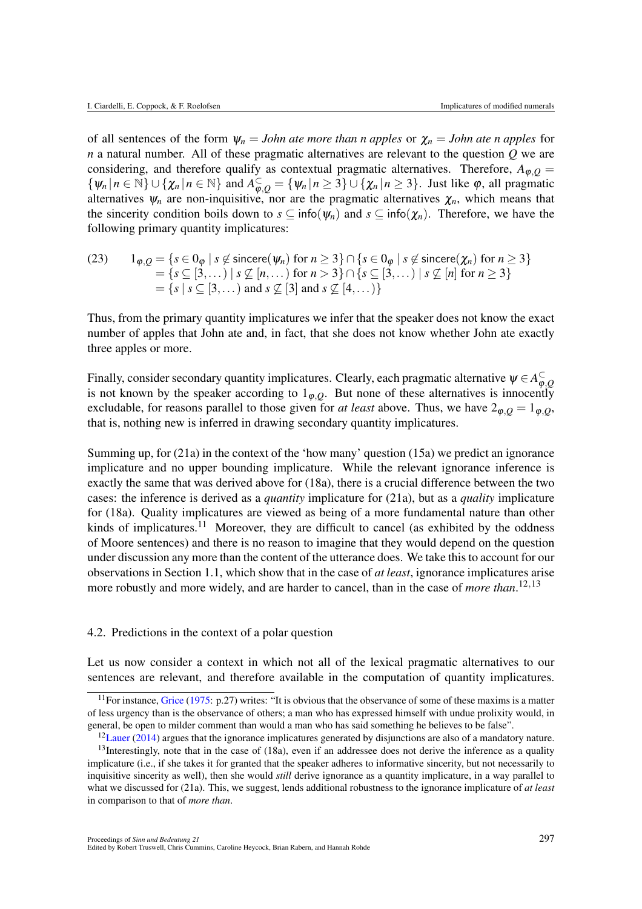of all sentences of the form  $\psi_n = John$  ate more than n apples or  $\chi_n = John$  ate n apples for *n* a natural number. All of these pragmatic alternatives are relevant to the question *Q* we are considering, and therefore qualify as contextual pragmatic alternatives. Therefore,  $A_{\varphi,Q}$  =  $\{\psi_n \mid n \in \mathbb{N}\} \cup \{\chi_n \mid n \in \mathbb{N}\}\$  and  $A_{\varphi,Q}^{\subset} = \{\psi_n \mid n \geq 3\} \cup \{\chi_n \mid n \geq 3\}$ . Just like  $\varphi$ , all pragmatic alternatives  $\psi_n$  are non-inquisitive, nor are the pragmatic alternatives  $\chi_n$ , which means that the sincerity condition boils down to  $s \subseteq \text{info}(\psi_n)$  and  $s \subseteq \text{info}(\chi_n)$ . Therefore, we have the following primary quantity implicatures:

(23) 
$$
1_{\varphi,Q} = \{s \in 0_{\varphi} \mid s \notin \text{since } (\psi_n) \text{ for } n \geq 3\} \cap \{s \in 0_{\varphi} \mid s \notin \text{since } (\chi_n) \text{ for } n \geq 3\}
$$

$$
= \{s \subseteq [3,\dots) \mid s \not\subseteq [n,\dots) \text{ for } n > 3\} \cap \{s \subseteq [3,\dots) \mid s \not\subseteq [n] \text{ for } n \geq 3\}
$$

$$
= \{s \mid s \subseteq [3,\dots) \text{ and } s \not\subseteq [3] \text{ and } s \not\subseteq [4,\dots)\}
$$

Thus, from the primary quantity implicatures we infer that the speaker does not know the exact number of apples that John ate and, in fact, that she does not know whether John ate exactly three apples or more.

Finally, consider secondary quantity implicatures. Clearly, each pragmatic alternative  $\psi \in A_{\varphi,Q}^{\subset}$ is not known by the speaker according to  $1_{\varphi, Q}$ . But none of these alternatives is innocently excludable, for reasons parallel to those given for *at least* above. Thus, we have  $2_{\varphi, Q} = 1_{\varphi, Q}$ , that is, nothing new is inferred in drawing secondary quantity implicatures.

Summing up, for (21a) in the context of the 'how many' question (15a) we predict an ignorance implicature and no upper bounding implicature. While the relevant ignorance inference is exactly the same that was derived above for (18a), there is a crucial difference between the two cases: the inference is derived as a *quantity* implicature for (21a), but as a *quality* implicature for (18a). Quality implicatures are viewed as being of a more fundamental nature than other kinds of implicatures.<sup>11</sup> Moreover, they are difficult to cancel (as exhibited by the oddness of Moore sentences) and there is no reason to imagine that they would depend on the question under discussion any more than the content of the utterance does. We take this to account for our observations in Section 1.1, which show that in the case of *at least*, ignorance implicatures arise more robustly and more widely, and are harder to cancel, than in the case of *more than*. 12*,*13

#### 4.2. Predictions in the context of a polar question

Let us now consider a context in which not all of the lexical pragmatic alternatives to our sentences are relevant, and therefore available in the computation of quantity implicatures.

<sup>&</sup>lt;sup>11</sup>For instance, Grice (1975: p.27) writes: "It is obvious that the observance of some of these maxims is a matter of less urgency than is the observance of others; a man who has expressed himself with undue prolixity would, in general, be open to milder comment than would a man who has said something he believes to be false".

 $12$ Lauer (2014) argues that the ignorance implicatures generated by disjunctions are also of a mandatory nature.

 $13$ Interestingly, note that in the case of (18a), even if an addressee does not derive the inference as a quality implicature (i.e., if she takes it for granted that the speaker adheres to informative sincerity, but not necessarily to inquisitive sincerity as well), then she would *still* derive ignorance as a quantity implicature, in a way parallel to what we discussed for (21a). This, we suggest, lends additional robustness to the ignorance implicature of *at least* in comparison to that of *more than*.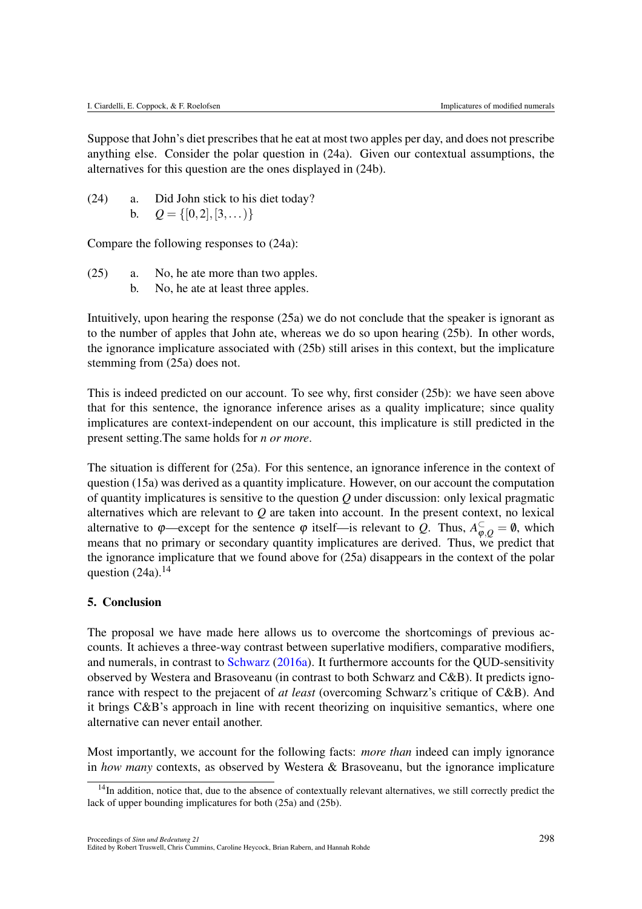Suppose that John's diet prescribes that he eat at most two apples per day, and does not prescribe anything else. Consider the polar question in (24a). Given our contextual assumptions, the alternatives for this question are the ones displayed in (24b).

(24) a. Did John stick to his diet today? b.  $Q = \{ [0, 2], [3, \ldots) \}$ 

Compare the following responses to (24a):

- (25) a. No, he ate more than two apples.
	- b. No, he ate at least three apples.

Intuitively, upon hearing the response (25a) we do not conclude that the speaker is ignorant as to the number of apples that John ate, whereas we do so upon hearing (25b). In other words, the ignorance implicature associated with (25b) still arises in this context, but the implicature stemming from (25a) does not.

This is indeed predicted on our account. To see why, first consider (25b): we have seen above that for this sentence, the ignorance inference arises as a quality implicature; since quality implicatures are context-independent on our account, this implicature is still predicted in the present setting.The same holds for *n or more*.

The situation is different for (25a). For this sentence, an ignorance inference in the context of question (15a) was derived as a quantity implicature. However, on our account the computation of quantity implicatures is sensitive to the question *Q* under discussion: only lexical pragmatic alternatives which are relevant to *Q* are taken into account. In the present context, no lexical alternative to  $\varphi$ —except for the sentence  $\varphi$  itself—is relevant to *Q*. Thus,  $A_{\varphi,Q}^{\subset} = \varnothing$ , which means that no primary or secondary quantity implicatures are derived. Thus, we predict that the ignorance implicature that we found above for (25a) disappears in the context of the polar question  $(24a)$ .<sup>14</sup>

#### 5. Conclusion

The proposal we have made here allows us to overcome the shortcomings of previous accounts. It achieves a three-way contrast between superlative modifiers, comparative modifiers, and numerals, in contrast to Schwarz (2016a). It furthermore accounts for the QUD-sensitivity observed by Westera and Brasoveanu (in contrast to both Schwarz and C&B). It predicts ignorance with respect to the prejacent of *at least* (overcoming Schwarz's critique of C&B). And it brings C&B's approach in line with recent theorizing on inquisitive semantics, where one alternative can never entail another.

Most importantly, we account for the following facts: *more than* indeed can imply ignorance in *how many* contexts, as observed by Westera & Brasoveanu, but the ignorance implicature

<sup>&</sup>lt;sup>14</sup>In addition, notice that, due to the absence of contextually relevant alternatives, we still correctly predict the lack of upper bounding implicatures for both (25a) and (25b).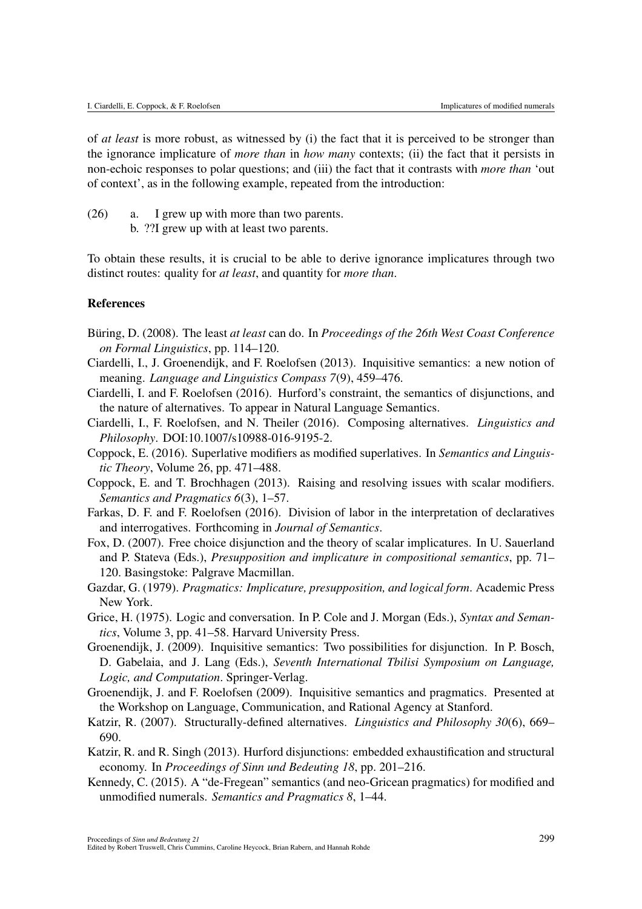of *at least* is more robust, as witnessed by (i) the fact that it is perceived to be stronger than the ignorance implicature of *more than* in *how many* contexts; (ii) the fact that it persists in non-echoic responses to polar questions; and (iii) the fact that it contrasts with *more than* 'out of context', as in the following example, repeated from the introduction:

- (26) a. I grew up with more than two parents.
	- b. ??I grew up with at least two parents.

To obtain these results, it is crucial to be able to derive ignorance implicatures through two distinct routes: quality for *at least*, and quantity for *more than*.

#### References

- Büring, D. (2008). The least *at least* can do. In *Proceedings of the 26th West Coast Conference on Formal Linguistics*, pp. 114–120.
- Ciardelli, I., J. Groenendijk, and F. Roelofsen (2013). Inquisitive semantics: a new notion of meaning. *Language and Linguistics Compass 7*(9), 459–476.
- Ciardelli, I. and F. Roelofsen (2016). Hurford's constraint, the semantics of disjunctions, and the nature of alternatives. To appear in Natural Language Semantics.
- Ciardelli, I., F. Roelofsen, and N. Theiler (2016). Composing alternatives. *Linguistics and Philosophy*. DOI:10.1007/s10988-016-9195-2.
- Coppock, E. (2016). Superlative modifiers as modified superlatives. In *Semantics and Linguistic Theory*, Volume 26, pp. 471–488.
- Coppock, E. and T. Brochhagen (2013). Raising and resolving issues with scalar modifiers. *Semantics and Pragmatics 6*(3), 1–57.
- Farkas, D. F. and F. Roelofsen (2016). Division of labor in the interpretation of declaratives and interrogatives. Forthcoming in *Journal of Semantics*.
- Fox, D. (2007). Free choice disjunction and the theory of scalar implicatures. In U. Sauerland and P. Stateva (Eds.), *Presupposition and implicature in compositional semantics*, pp. 71– 120. Basingstoke: Palgrave Macmillan.
- Gazdar, G. (1979). *Pragmatics: Implicature, presupposition, and logical form*. Academic Press New York.
- Grice, H. (1975). Logic and conversation. In P. Cole and J. Morgan (Eds.), *Syntax and Semantics*, Volume 3, pp. 41–58. Harvard University Press.
- Groenendijk, J. (2009). Inquisitive semantics: Two possibilities for disjunction. In P. Bosch, D. Gabelaia, and J. Lang (Eds.), *Seventh International Tbilisi Symposium on Language, Logic, and Computation*. Springer-Verlag.
- Groenendijk, J. and F. Roelofsen (2009). Inquisitive semantics and pragmatics. Presented at the Workshop on Language, Communication, and Rational Agency at Stanford.
- Katzir, R. (2007). Structurally-defined alternatives. *Linguistics and Philosophy 30*(6), 669– 690.
- Katzir, R. and R. Singh (2013). Hurford disjunctions: embedded exhaustification and structural economy. In *Proceedings of Sinn und Bedeuting 18*, pp. 201–216.
- Kennedy, C. (2015). A "de-Fregean" semantics (and neo-Gricean pragmatics) for modified and unmodified numerals. *Semantics and Pragmatics 8*, 1–44.